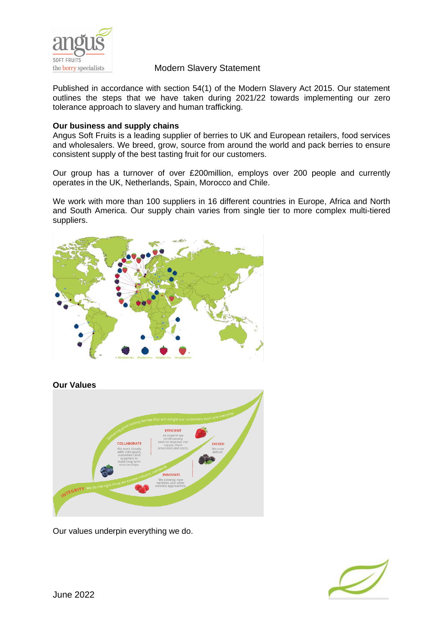

Published in accordance with section 54(1) of the Modern Slavery Act 2015. Our statement outlines the steps that we have taken during 2021/22 towards implementing our zero tolerance approach to slavery and human trafficking.

#### **Our business and supply chains**

Angus Soft Fruits is a leading supplier of berries to UK and European retailers, food services and wholesalers. We breed, grow, source from around the world and pack berries to ensure consistent supply of the best tasting fruit for our customers.

Our group has a turnover of over £200million, employs over 200 people and currently operates in the UK, Netherlands, Spain, Morocco and Chile.

We work with more than 100 suppliers in 16 different countries in Europe, Africa and North and South America. Our supply chain varies from single tier to more complex multi-tiered suppliers.



#### **Our Values**



Our values underpin everything we do.

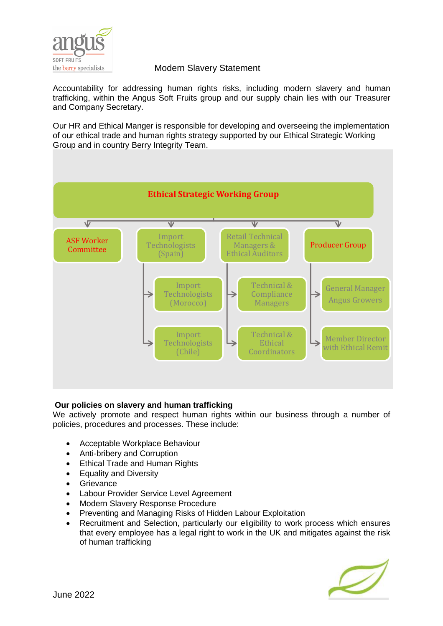

Accountability for addressing human rights risks, including modern slavery and human trafficking, within the Angus Soft Fruits group and our supply chain lies with our Treasurer and Company Secretary.

Our HR and Ethical Manger is responsible for developing and overseeing the implementation of our ethical trade and human rights strategy supported by our Ethical Strategic Working Group and in country Berry Integrity Team.



#### **Our policies on slavery and human trafficking**

We actively promote and respect human rights within our business through a number of policies, procedures and processes. These include:

- Acceptable Workplace Behaviour
- Anti-bribery and Corruption
- Ethical Trade and Human Rights
- Equality and Diversity
- **Grievance**
- Labour Provider Service Level Agreement
- Modern Slavery Response Procedure
- Preventing and Managing Risks of Hidden Labour Exploitation
- Recruitment and Selection, particularly our eligibility to work process which ensures that every employee has a legal right to work in the UK and mitigates against the risk of human trafficking

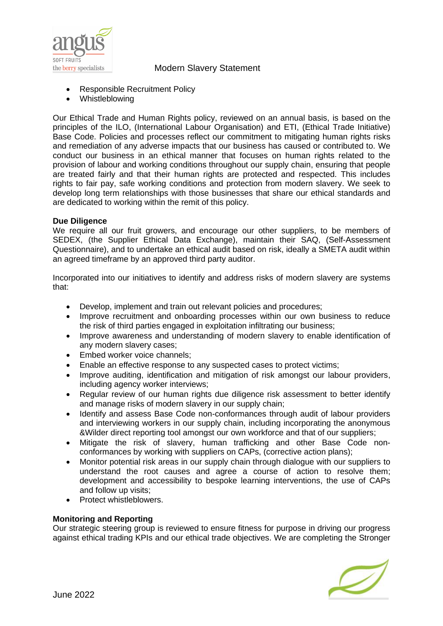

- Responsible Recruitment Policy
- Whistleblowing

Our Ethical Trade and Human Rights policy, reviewed on an annual basis, is based on the principles of the ILO, (International Labour Organisation) and ETI, (Ethical Trade Initiative) Base Code. Policies and processes reflect our commitment to mitigating human rights risks and remediation of any adverse impacts that our business has caused or contributed to. We conduct our business in an ethical manner that focuses on human rights related to the provision of labour and working conditions throughout our supply chain, ensuring that people are treated fairly and that their human rights are protected and respected. This includes rights to fair pay, safe working conditions and protection from modern slavery. We seek to develop long term relationships with those businesses that share our ethical standards and are dedicated to working within the remit of this policy.

#### **Due Diligence**

We require all our fruit growers, and encourage our other suppliers, to be members of SEDEX, (the Supplier Ethical Data Exchange), maintain their SAQ, (Self-Assessment Questionnaire), and to undertake an ethical audit based on risk, ideally a SMETA audit within an agreed timeframe by an approved third party auditor.

Incorporated into our initiatives to identify and address risks of modern slavery are systems that:

- Develop, implement and train out relevant policies and procedures;
- Improve recruitment and onboarding processes within our own business to reduce the risk of third parties engaged in exploitation infiltrating our business;
- Improve awareness and understanding of modern slavery to enable identification of any modern slavery cases;
- Embed worker voice channels:
- Enable an effective response to any suspected cases to protect victims;
- Improve auditing, identification and mitigation of risk amongst our labour providers, including agency worker interviews;
- Regular review of our human rights due diligence risk assessment to better identify and manage risks of modern slavery in our supply chain;
- Identify and assess Base Code non-conformances through audit of labour providers and interviewing workers in our supply chain, including incorporating the anonymous &Wilder direct reporting tool amongst our own workforce and that of our suppliers;
- Mitigate the risk of slavery, human trafficking and other Base Code nonconformances by working with suppliers on CAPs, (corrective action plans);
- Monitor potential risk areas in our supply chain through dialogue with our suppliers to understand the root causes and agree a course of action to resolve them; development and accessibility to bespoke learning interventions, the use of CAPs and follow up visits;
- Protect whistleblowers.

#### **Monitoring and Reporting**

Our strategic steering group is reviewed to ensure fitness for purpose in driving our progress against ethical trading KPIs and our ethical trade objectives. We are completing the Stronger